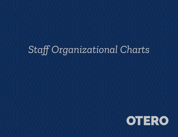# *Staff Organizational Charts*

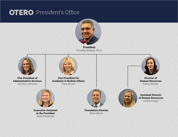## **OTERO** President's Office



President Timothy Alvarez, Ph.D.

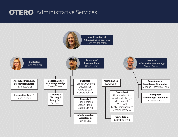# **OTERO** Administrative Services

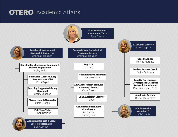# **OTERO** Academic Affairs

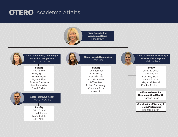## **OTERO** Academic Affairs

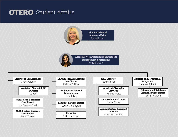#### **OTERO** Student Affairs